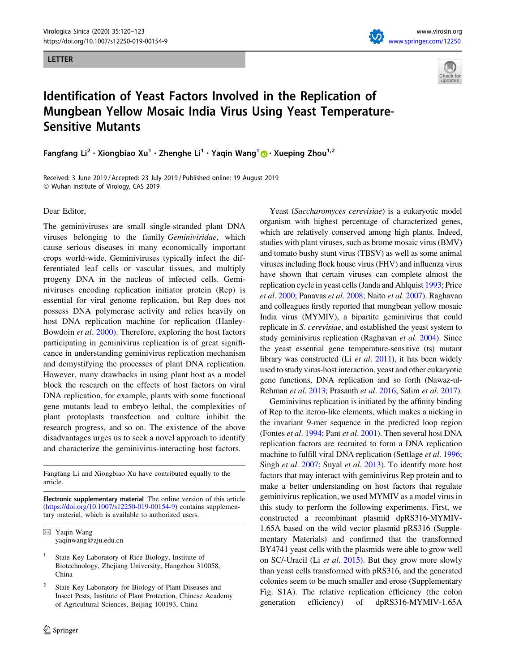#### LETTER





# Identification of Yeast Factors Involved in the Replication of Mungbean Yellow Mosaic India Virus Using Yeast Temperature-Sensitive Mutants

Fangfang Li<sup>2</sup> · Xiongbiao Xu<sup>1</sup> · Zhenghe Li<sup>1</sup> · Yaqin Wang<sup>1</sup> • Xueping Zhou<sup>1,2</sup>

Received: 3 June 2019 / Accepted: 23 July 2019 / Published online: 19 August 2019 - Wuhan Institute of Virology, CAS 2019

#### Dear Editor,

The geminiviruses are small single-stranded plant DNA viruses belonging to the family Geminiviridae, which cause serious diseases in many economically important crops world-wide. Geminiviruses typically infect the differentiated leaf cells or vascular tissues, and multiply progeny DNA in the nucleus of infected cells. Geminiviruses encoding replication initiator protein (Rep) is essential for viral genome replication, but Rep does not possess DNA polymerase activity and relies heavily on host DNA replication machine for replication (Hanley-Bowdoin et al. [2000](#page-3-0)). Therefore, exploring the host factors participating in geminivirus replication is of great significance in understanding geminivirus replication mechanism and demystifying the processes of plant DNA replication. However, many drawbacks in using plant host as a model block the research on the effects of host factors on viral DNA replication, for example, plants with some functional gene mutants lead to embryo lethal, the complexities of plant protoplasts transfection and culture inhibit the research progress, and so on. The existence of the above disadvantages urges us to seek a novel approach to identify and characterize the geminivirus-interacting host factors.

Fangfang Li and Xiongbiao Xu have contributed equally to the article.

Electronic supplementary material The online version of this article (<https://doi.org/10.1007/s12250-019-00154-9>) contains supplementary material, which is available to authorized users.

 $\boxtimes$  Yaqin Wang yaqinwang@zju.edu.cn

State Key Laboratory of Rice Biology, Institute of Biotechnology, Zhejiang University, Hangzhou 310058, China

State Key Laboratory for Biology of Plant Diseases and Insect Pests, Institute of Plant Protection, Chinese Academy of Agricultural Sciences, Beijing 100193, China

Yeast (Saccharomyces cerevisiae) is a eukaryotic model organism with highest percentage of characterized genes, which are relatively conserved among high plants. Indeed, studies with plant viruses, such as brome mosaic virus (BMV) and tomato bushy stunt virus (TBSV) as well as some animal viruses including flock house virus (FHV) and influenza virus have shown that certain viruses can complete almost the replication cycle in yeast cells (Janda and Ahlquist [1993;](#page-3-0) Price et al. [2000](#page-3-0); Panavas et al. [2008](#page-3-0); Naito et al. [2007](#page-3-0)). Raghavan and colleagues firstly reported that mungbean yellow mosaic India virus (MYMIV), a bipartite geminivirus that could replicate in S. cerevisiae, and established the yeast system to study geminivirus replication (Raghavan et al. [2004\)](#page-3-0). Since the yeast essential gene temperature-sensitive (ts) mutant library was constructed (Li et al. [2011](#page-3-0)), it has been widely used to study virus-host interaction, yeast and other eukaryotic gene functions, DNA replication and so forth (Nawaz-ul-Rehman et al. [2013](#page-3-0); Prasanth et al. [2016](#page-3-0); Salim et al. [2017](#page-3-0)).

Geminivirus replication is initiated by the affinity binding of Rep to the iteron-like elements, which makes a nicking in the invariant 9-mer sequence in the predicted loop region (Fontes et al. [1994;](#page-3-0) Pant et al. [2001](#page-3-0)). Then several host DNA replication factors are recruited to form a DNA replication machine to fulfill viral DNA replication (Settlage et al. [1996](#page-3-0); Singh et al. [2007;](#page-3-0) Suyal et al. [2013\)](#page-3-0). To identify more host factors that may interact with geminivirus Rep protein and to make a better understanding on host factors that regulate geminivirus replication, we used MYMIV as a model virus in this study to perform the following experiments. First, we constructed a recombinant plasmid dpRS316-MYMIV-1.65A based on the wild vector plasmid pRS316 (Supplementary Materials) and confirmed that the transformed BY4741 yeast cells with the plasmids were able to grow well on SC/-Uracil (Li et al. [2015](#page-3-0)). But they grow more slowly than yeast cells transformed with pRS316, and the generated colonies seem to be much smaller and erose (Supplementary Fig. S1A). The relative replication efficiency (the colon generation efficiency) of dpRS316-MYMIV-1.65A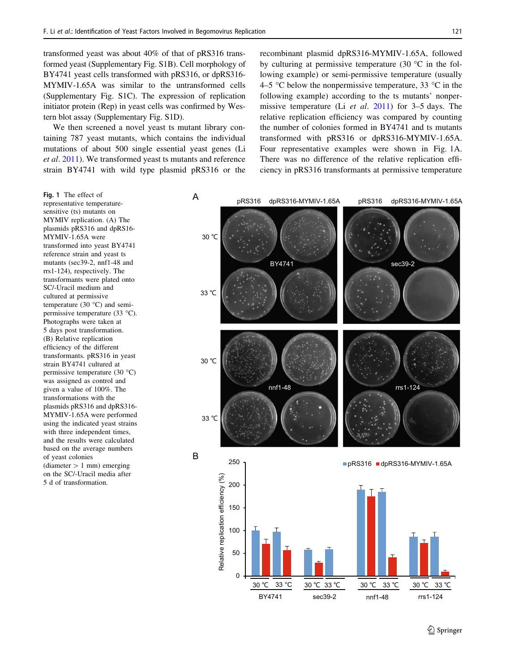<span id="page-1-0"></span>transformed yeast was about 40% of that of pRS316 transformed yeast (Supplementary Fig. S1B). Cell morphology of BY4741 yeast cells transformed with pRS316, or dpRS316- MYMIV-1.65A was similar to the untransformed cells (Supplementary Fig. S1C). The expression of replication initiator protein (Rep) in yeast cells was confirmed by Western blot assay (Supplementary Fig. S1D).

We then screened a novel yeast ts mutant library containing 787 yeast mutants, which contains the individual mutations of about 500 single essential yeast genes (Li et al. [2011](#page-3-0)). We transformed yeast ts mutants and reference strain BY4741 with wild type plasmid pRS316 or the recombinant plasmid dpRS316-MYMIV-1.65A, followed by culturing at permissive temperature (30  $\degree$ C in the following example) or semi-permissive temperature (usually 4–5 °C below the nonpermissive temperature, 33 °C in the following example) according to the ts mutants' nonpermissive temperature (Li et al. [2011\)](#page-3-0) for 3–5 days. The relative replication efficiency was compared by counting the number of colonies formed in BY4741 and ts mutants transformed with pRS316 or dpRS316-MYMIV-1.65A. Four representative examples were shown in Fig. 1A. There was no difference of the relative replication efficiency in pRS316 transformants at permissive temperature

Fig. 1 The effect of representative temperaturesensitive (ts) mutants on MYMIV replication. (A) The plasmids pRS316 and dpRS16- MYMIV-1.65A were transformed into yeast BY4741 reference strain and yeast ts mutants (sec39-2, nnf1-48 and rrs1-124), respectively. The transformants were plated onto SC/-Uracil medium and cultured at permissive temperature (30 $\degree$ C) and semipermissive temperature  $(33 \text{ °C})$ . Photographs were taken at 5 days post transformation. (B) Relative replication efficiency of the different transformants. pRS316 in yeast strain BY4741 cultured at permissive temperature  $(30 °C)$ was assigned as control and given a value of 100%. The transformations with the plasmids pRS316 and dpRS316- MYMIV-1.65A were performed using the indicated yeast strains with three independent times, and the results were calculated based on the average numbers of yeast colonies  $(diameter > 1 mm)$  emerging

on the SC/-Uracil media after 5 d of transformation.

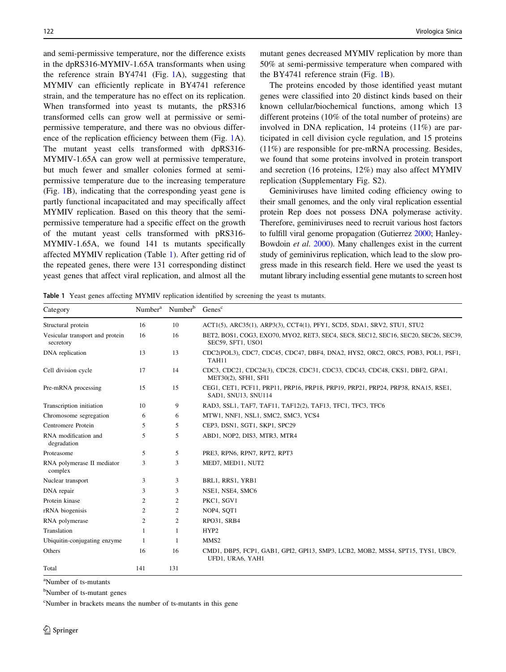and semi-permissive temperature, nor the difference exists in the dpRS316-MYMIV-1.65A transformants when using the reference strain BY4741 (Fig. [1A](#page-1-0)), suggesting that MYMIV can efficiently replicate in BY4741 reference strain, and the temperature has no effect on its replication. When transformed into yeast ts mutants, the pRS316 transformed cells can grow well at permissive or semipermissive temperature, and there was no obvious difference of the replication efficiency between them (Fig. [1](#page-1-0)A). The mutant yeast cells transformed with dpRS316- MYMIV-1.65A can grow well at permissive temperature, but much fewer and smaller colonies formed at semipermissive temperature due to the increasing temperature (Fig. [1](#page-1-0)B), indicating that the corresponding yeast gene is partly functional incapacitated and may specifically affect MYMIV replication. Based on this theory that the semipermissive temperature had a specific effect on the growth of the mutant yeast cells transformed with pRS316- MYMIV-1.65A, we found 141 ts mutants specifically affected MYMIV replication (Table 1). After getting rid of the repeated genes, there were 131 corresponding distinct yeast genes that affect viral replication, and almost all the mutant genes decreased MYMIV replication by more than 50% at semi-permissive temperature when compared with the BY4741 reference strain (Fig. [1](#page-1-0)B).

The proteins encoded by those identified yeast mutant genes were classified into 20 distinct kinds based on their known cellular/biochemical functions, among which 13 different proteins (10% of the total number of proteins) are involved in DNA replication, 14 proteins (11%) are participated in cell division cycle regulation, and 15 proteins (11%) are responsible for pre-mRNA processing. Besides, we found that some proteins involved in protein transport and secretion (16 proteins, 12%) may also affect MYMIV replication (Supplementary Fig. S2).

Geminiviruses have limited coding efficiency owing to their small genomes, and the only viral replication essential protein Rep does not possess DNA polymerase activity. Therefore, geminiviruses need to recruit various host factors to fulfill viral genome propagation (Gutierrez [2000](#page-3-0); Hanley-Bowdoin et al. [2000\)](#page-3-0). Many challenges exist in the current study of geminivirus replication, which lead to the slow progress made in this research field. Here we used the yeast ts mutant library including essential gene mutants to screen host

Table 1 Yeast genes affecting MYMIV replication identified by screening the yeast ts mutants.

| Category                                     | Number <sup>a</sup> | Number <sup>b</sup> | Genes <sup>c</sup>                                                                                       |
|----------------------------------------------|---------------------|---------------------|----------------------------------------------------------------------------------------------------------|
| Structural protein                           | 16                  | 10                  | ACT1(5), ARC35(1), ARP3(3), CCT4(1), PFY1, SCD5, SDA1, SRV2, STU1, STU2                                  |
| Vesicular transport and protein<br>secretory | 16                  | 16                  | BET2, BOS1, COG3, EXO70, MYO2, RET3, SEC4, SEC8, SEC12, SEC16, SEC20, SEC26, SEC39,<br>SEC59, SFT1, USO1 |
| DNA replication                              | 13                  | 13                  | CDC2(POL3), CDC7, CDC45, CDC47, DBF4, DNA2, HYS2, ORC2, ORC5, POB3, POL1, PSF1,<br>TAH11                 |
| Cell division cycle                          | 17                  | 14                  | CDC3, CDC21, CDC24(3), CDC28, CDC31, CDC33, CDC43, CDC48, CKS1, DBF2, GPA1,<br>MET30(2), SFH1, SFI1      |
| Pre-mRNA processing                          | 15                  | 15                  | CEG1, CET1, PCF11, PRP11, PRP16, PRP18, PRP19, PRP21, PRP24, PRP38, RNA15, RSE1,<br>SAD1, SNU13, SNU114  |
| Transcription initiation                     | 10                  | 9                   | RAD3, SSL1, TAF7, TAF11, TAF12(2), TAF13, TFC1, TFC3, TFC6                                               |
| Chromosome segregation                       | 6                   | 6                   | MTW1, NNF1, NSL1, SMC2, SMC3, YCS4                                                                       |
| Centromere Protein                           | 5                   | 5                   | CEP3, DSN1, SGT1, SKP1, SPC29                                                                            |
| RNA modification and<br>degradation          | 5                   | 5                   | ABD1, NOP2, DIS3, MTR3, MTR4                                                                             |
| Proteasome                                   | 5                   | 5                   | PRE3, RPN6, RPN7, RPT2, RPT3                                                                             |
| RNA polymerase II mediator<br>complex        | 3                   | 3                   | MED7, MED11, NUT2                                                                                        |
| Nuclear transport                            | 3                   | 3                   | BRL1, RRS1, YRB1                                                                                         |
| DNA repair                                   | 3                   | 3                   | NSE1, NSE4, SMC6                                                                                         |
| Protein kinase                               | $\mathfrak{2}$      | $\overline{c}$      | PKC1, SGV1                                                                                               |
| rRNA biogenisis                              | 2                   | 2                   | NOP4, SQT1                                                                                               |
| RNA polymerase                               | 2                   | 2                   | RPO31, SRB4                                                                                              |
| Translation                                  |                     | 1                   | HYP2                                                                                                     |
| Ubiquitin-conjugating enzyme                 | 1                   |                     | MMS <sub>2</sub>                                                                                         |
| Others                                       | 16                  | 16                  | CMD1, DBP5, FCP1, GAB1, GPI2, GPI13, SMP3, LCB2, MOB2, MSS4, SPT15, TYS1, UBC9,<br>UFD1, URA6, YAH1      |
| Total                                        | 141                 | 131                 |                                                                                                          |

a Number of ts-mutants

<sup>b</sup>Number of ts-mutant genes

c Number in brackets means the number of ts-mutants in this gene